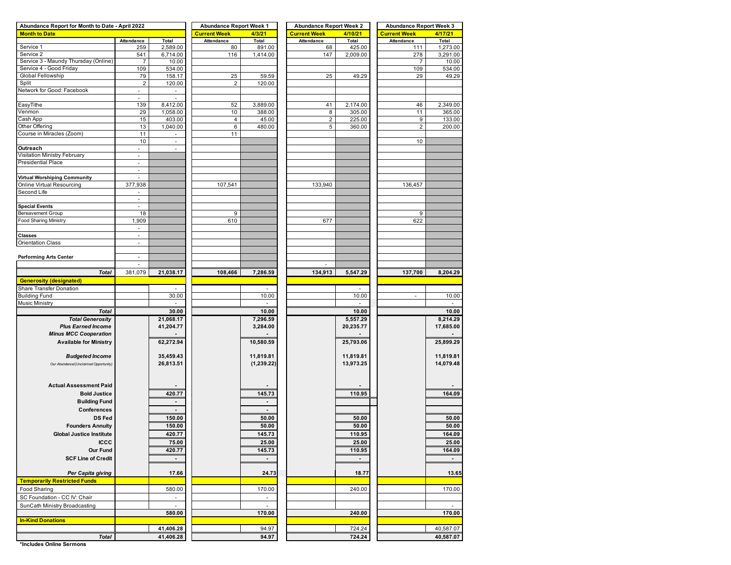| Abundance Report for Month to Date - April 2022 | <b>Abundance Report Week 1</b> |                          | <b>Abundance Report Week 2</b> |                | <b>Abundance Report Week 3</b> |                |                     |                          |  |
|-------------------------------------------------|--------------------------------|--------------------------|--------------------------------|----------------|--------------------------------|----------------|---------------------|--------------------------|--|
| <b>Month to Date</b>                            |                                |                          | <b>Current Week</b>            | 4/3/21         | <b>Current Week</b>            | 4/10/21        | <b>Current Week</b> | 4/17/21                  |  |
|                                                 | Attendance                     | Total                    | Attendance                     | Total          | Attendance                     | Total          | Attendance          | Total                    |  |
| Service 1                                       | 259                            | 2,589.00                 | 80                             | 891.00         | 68                             | 425.00         | 111                 | 1,273.00                 |  |
| Service 2                                       | 541                            | 6,714.00                 | 116                            | 1,414.00       | 147                            | 2,009.00       | 278                 | 3,291.00                 |  |
| Service 3 - Maundy Thursday (Online)            | 7                              | 10.00                    |                                |                |                                |                | $\overline{7}$      | 10.00                    |  |
| Service 4 - Good Friday                         | 109                            | 534.00                   |                                |                |                                |                | 109                 | 534.00                   |  |
| Global Fellowship                               | 79                             | 158.17                   | 25                             | 59.59          | 25                             | 49.29          | 29                  | 49.29                    |  |
| Split                                           | $\mathbf 2$                    | 120.00                   | $\mathbf 2$                    | 120.00         |                                |                |                     |                          |  |
| Network for Good: Facebook                      | $\overline{\phantom{a}}$       |                          |                                |                |                                |                |                     |                          |  |
|                                                 | $\overline{\phantom{a}}$       | $\overline{\phantom{a}}$ |                                |                |                                |                |                     |                          |  |
| EasyTithe                                       | 139                            | 8,412.00                 | 52                             | 3,889.00       | 41                             | 2,174.00       | 46                  | 2,349.00                 |  |
| Venmon                                          | 29                             | 1,058.00                 | 10                             | 388.00         | 8                              | 305.00         | 11                  | 365.00                   |  |
| Cash App                                        | 15                             | 403.00                   | 4                              | 45.00          | $\mathbf 2$                    | 225.00         | 9                   | 133.00                   |  |
| Other Offering                                  | 13                             | 1,040.00                 | 6                              | 480.00         | 5                              | 360.00         | $\overline{2}$      | 200.00                   |  |
| Course in Miracles (Zoom)                       | 11                             | ÷,                       | 11                             |                |                                |                |                     |                          |  |
|                                                 | 10                             |                          |                                |                |                                |                | 10                  |                          |  |
| Outreach                                        |                                |                          |                                |                |                                |                |                     |                          |  |
|                                                 | $\overline{\phantom{a}}$       | $\overline{\phantom{a}}$ |                                |                |                                |                |                     |                          |  |
| Visitation Ministry February                    | $\overline{\phantom{a}}$       |                          |                                |                |                                |                |                     |                          |  |
| <b>Presidential Place</b>                       | ä,                             |                          |                                |                |                                |                |                     |                          |  |
|                                                 | $\overline{\phantom{a}}$       |                          |                                |                |                                |                |                     |                          |  |
| Virtual Worshiping Community                    |                                |                          |                                |                |                                |                |                     |                          |  |
| Online Virtual Resourcing                       | 377,938                        |                          | 107,541                        |                | 133,940                        |                | 136,457             |                          |  |
| Second Life                                     | $\overline{\phantom{a}}$       |                          |                                |                |                                |                |                     |                          |  |
|                                                 | ä,                             |                          |                                |                |                                |                |                     |                          |  |
| <b>Special Events</b>                           | $\overline{\phantom{a}}$       |                          |                                |                |                                |                |                     |                          |  |
| Bereavement Group                               | 18                             |                          | 9                              |                |                                |                | 9                   |                          |  |
| <b>Food Sharing Ministry</b>                    | 1,909                          |                          | 610                            |                | 677                            |                | 622                 |                          |  |
|                                                 | $\overline{\phantom{a}}$       |                          |                                |                |                                |                |                     |                          |  |
| <b>Classes</b>                                  |                                |                          |                                |                |                                |                |                     |                          |  |
| <b>Orientation Class</b>                        | ä,                             |                          |                                |                |                                |                |                     |                          |  |
|                                                 |                                |                          |                                |                |                                |                |                     |                          |  |
|                                                 | ÷.                             |                          |                                |                |                                |                |                     |                          |  |
| <b>Performing Arts Center</b>                   |                                |                          |                                |                |                                |                |                     |                          |  |
|                                                 | $\overline{\phantom{a}}$       |                          |                                |                |                                |                |                     |                          |  |
| <b>Total</b>                                    | 381,079                        | 21,038.17                | 108,466                        | 7,286.59       | 134,913                        | 5,547.29       | 137,700             | 8,204.29                 |  |
| <b>Generosity (designated)</b>                  |                                |                          |                                |                |                                |                |                     |                          |  |
| Share Transfer Donation                         |                                |                          |                                |                |                                |                |                     |                          |  |
| <b>Building Fund</b>                            |                                | 30.00                    |                                | 10.00          |                                | 10.00          | ÷,                  | 10.00                    |  |
| Music Ministry                                  |                                |                          |                                |                |                                |                |                     |                          |  |
| <b>Total</b>                                    |                                | 30.00                    |                                | 10.00          |                                | 10.00          |                     | 10.00                    |  |
| <b>Total Generosity</b>                         |                                | 21,068.17                |                                | 7,296.59       |                                | 5,557.29       |                     | 8,214.29                 |  |
| <b>Plus Earned Income</b>                       |                                | 41,204.77                |                                | 3,284.00       |                                | 20,235.77      |                     | 17,685.00                |  |
|                                                 |                                |                          |                                |                |                                |                |                     |                          |  |
| <b>Minus MCC Cooperation</b>                    |                                |                          |                                |                |                                |                |                     |                          |  |
| <b>Available for Ministry</b>                   |                                | 62,272.94                |                                | 10,580.59      |                                | 25,793.06      |                     | 25,899.29                |  |
|                                                 |                                |                          |                                |                |                                |                |                     |                          |  |
| <b>Budgeted Income</b>                          |                                | 35,459.43                |                                | 11,819.81      |                                | 11,819.81      |                     | 11,819.81                |  |
| Our Abundance/(Unclaimed Opportunity)           |                                | 26,813.51                |                                | (1,239.22)     |                                | 13,973.25      |                     | 14,079.48                |  |
|                                                 |                                |                          |                                |                |                                |                |                     |                          |  |
|                                                 |                                |                          |                                |                |                                |                |                     |                          |  |
| <b>Actual Assessment Paid</b>                   |                                |                          |                                |                |                                |                |                     |                          |  |
| <b>Bold Justice</b>                             |                                | 420.77                   |                                | 145.73         |                                | 110.95         |                     | 164.09                   |  |
| <b>Building Fund</b>                            |                                |                          |                                |                |                                |                |                     |                          |  |
|                                                 |                                | $\blacksquare$           |                                |                |                                |                |                     |                          |  |
| Conferences                                     |                                |                          |                                |                |                                |                |                     |                          |  |
| <b>DS Fed</b>                                   |                                | 150.00                   |                                | 50.00          |                                | 50.00          |                     | 50.00                    |  |
| <b>Founders Annuity</b>                         |                                | 150.00                   |                                | 50.00          |                                | 50.00          |                     | 50.00                    |  |
| <b>Global Justice Institute</b>                 |                                | 420.77                   |                                | 145.73         |                                | 110.95         |                     | 164.09                   |  |
| <b>ICCC</b>                                     |                                | 75.00                    |                                | 25.00          |                                | 25.00          |                     | 25.00                    |  |
| Our Fund                                        |                                | 420.77                   |                                | 145.73         |                                | 110.95         |                     | 164.09                   |  |
|                                                 |                                |                          |                                |                |                                |                |                     |                          |  |
| <b>SCF Line of Credit</b>                       |                                | $\blacksquare$           |                                |                |                                | $\blacksquare$ |                     | $\overline{\phantom{0}}$ |  |
|                                                 |                                |                          |                                |                |                                |                |                     |                          |  |
| Per Capita giving                               |                                | 17.66                    |                                | 24.73          |                                | 18.77          |                     | 13.65                    |  |
| <b>Temporarily Restricted Funds</b>             |                                |                          |                                |                |                                |                |                     |                          |  |
| Food Sharing                                    |                                | 580.00                   |                                | 170.00         |                                | 240.00         |                     | 170.00                   |  |
| SC Foundation - CC IV: Chair                    |                                |                          |                                |                |                                |                |                     |                          |  |
| SunCath Ministry Broadcasting                   |                                | $\omega$                 |                                | $\mathbb{Z}^2$ |                                |                |                     | $\blacksquare$           |  |
|                                                 |                                | 580.00                   |                                | 170.00         |                                | 240.00         |                     | 170.00                   |  |
|                                                 |                                |                          |                                |                |                                |                |                     |                          |  |
| <b>In-Kind Donations</b>                        |                                |                          |                                |                |                                |                |                     |                          |  |
|                                                 |                                | 41,406.28                |                                | 94.97          |                                | 724.24         |                     | 40,587.07                |  |
| <b>Total</b>                                    |                                | 41,406.28                |                                | 94.97          |                                | 724.24         |                     | 40,587.07                |  |

**\*Includes Online Sermons**